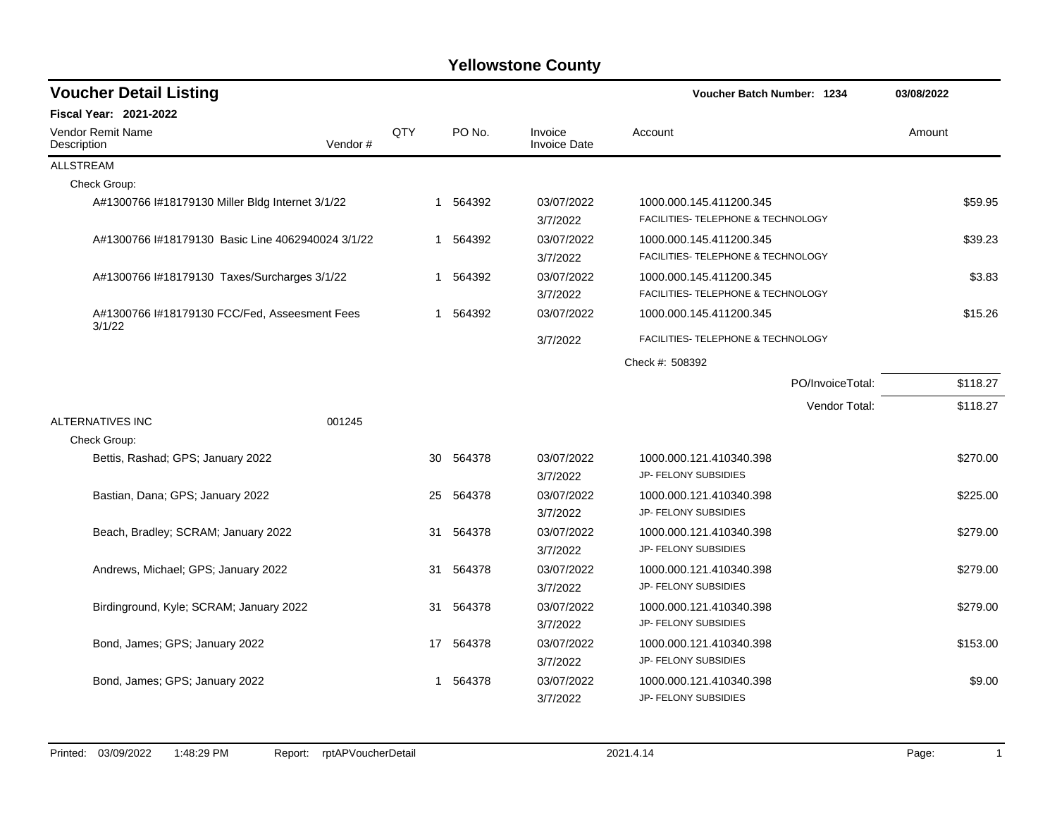| <b>Voucher Detail Listing</b>                           |         |             |           |                                | <b>Voucher Batch Number: 1234</b>  | 03/08/2022 |
|---------------------------------------------------------|---------|-------------|-----------|--------------------------------|------------------------------------|------------|
| Fiscal Year: 2021-2022                                  |         |             |           |                                |                                    |            |
| Vendor Remit Name<br>Description                        | Vendor# | QTY         | PO No.    | Invoice<br><b>Invoice Date</b> | Account                            | Amount     |
| <b>ALLSTREAM</b>                                        |         |             |           |                                |                                    |            |
| Check Group:                                            |         |             |           |                                |                                    |            |
| A#1300766 I#18179130 Miller Bldg Internet 3/1/22        |         |             | 1 564392  | 03/07/2022                     | 1000.000.145.411200.345            | \$59.95    |
|                                                         |         |             |           | 3/7/2022                       | FACILITIES- TELEPHONE & TECHNOLOGY |            |
| A#1300766 I#18179130 Basic Line 4062940024 3/1/22       |         |             | 1 564392  | 03/07/2022                     | 1000.000.145.411200.345            | \$39.23    |
|                                                         |         |             |           | 3/7/2022                       | FACILITIES- TELEPHONE & TECHNOLOGY |            |
| A#1300766 l#18179130 Taxes/Surcharges 3/1/22            |         | $\mathbf 1$ | 564392    | 03/07/2022                     | 1000.000.145.411200.345            | \$3.83     |
|                                                         |         |             |           | 3/7/2022                       | FACILITIES- TELEPHONE & TECHNOLOGY |            |
| A#1300766 I#18179130 FCC/Fed, Asseesment Fees<br>3/1/22 |         | -1          | 564392    | 03/07/2022                     | 1000.000.145.411200.345            | \$15.26    |
|                                                         |         |             |           | 3/7/2022                       | FACILITIES- TELEPHONE & TECHNOLOGY |            |
|                                                         |         |             |           |                                | Check #: 508392                    |            |
|                                                         |         |             |           |                                | PO/InvoiceTotal:                   | \$118.27   |
|                                                         |         |             |           |                                | Vendor Total:                      | \$118.27   |
| ALTERNATIVES INC                                        | 001245  |             |           |                                |                                    |            |
| Check Group:                                            |         |             |           |                                |                                    |            |
| Bettis, Rashad; GPS; January 2022                       |         | 30          | 564378    | 03/07/2022                     | 1000.000.121.410340.398            | \$270.00   |
|                                                         |         |             |           | 3/7/2022                       | JP- FELONY SUBSIDIES               |            |
| Bastian, Dana; GPS; January 2022                        |         | 25          | 564378    | 03/07/2022                     | 1000.000.121.410340.398            | \$225.00   |
|                                                         |         |             |           | 3/7/2022                       | JP- FELONY SUBSIDIES               |            |
| Beach, Bradley; SCRAM; January 2022                     |         | 31          | 564378    | 03/07/2022                     | 1000.000.121.410340.398            | \$279.00   |
|                                                         |         |             |           | 3/7/2022                       | JP- FELONY SUBSIDIES               |            |
| Andrews, Michael; GPS; January 2022                     |         |             | 31 564378 | 03/07/2022                     | 1000.000.121.410340.398            | \$279.00   |
|                                                         |         |             |           | 3/7/2022                       | JP- FELONY SUBSIDIES               |            |
| Birdinground, Kyle; SCRAM; January 2022                 |         | 31          | 564378    | 03/07/2022                     | 1000.000.121.410340.398            | \$279.00   |
|                                                         |         |             |           | 3/7/2022                       | JP- FELONY SUBSIDIES               |            |
| Bond, James: GPS: January 2022                          |         |             | 17 564378 | 03/07/2022                     | 1000.000.121.410340.398            | \$153.00   |
|                                                         |         |             |           | 3/7/2022                       | JP- FELONY SUBSIDIES               |            |
| Bond, James; GPS; January 2022                          |         |             | 564378    | 03/07/2022                     | 1000.000.121.410340.398            | \$9.00     |
|                                                         |         |             |           | 3/7/2022                       | JP- FELONY SUBSIDIES               |            |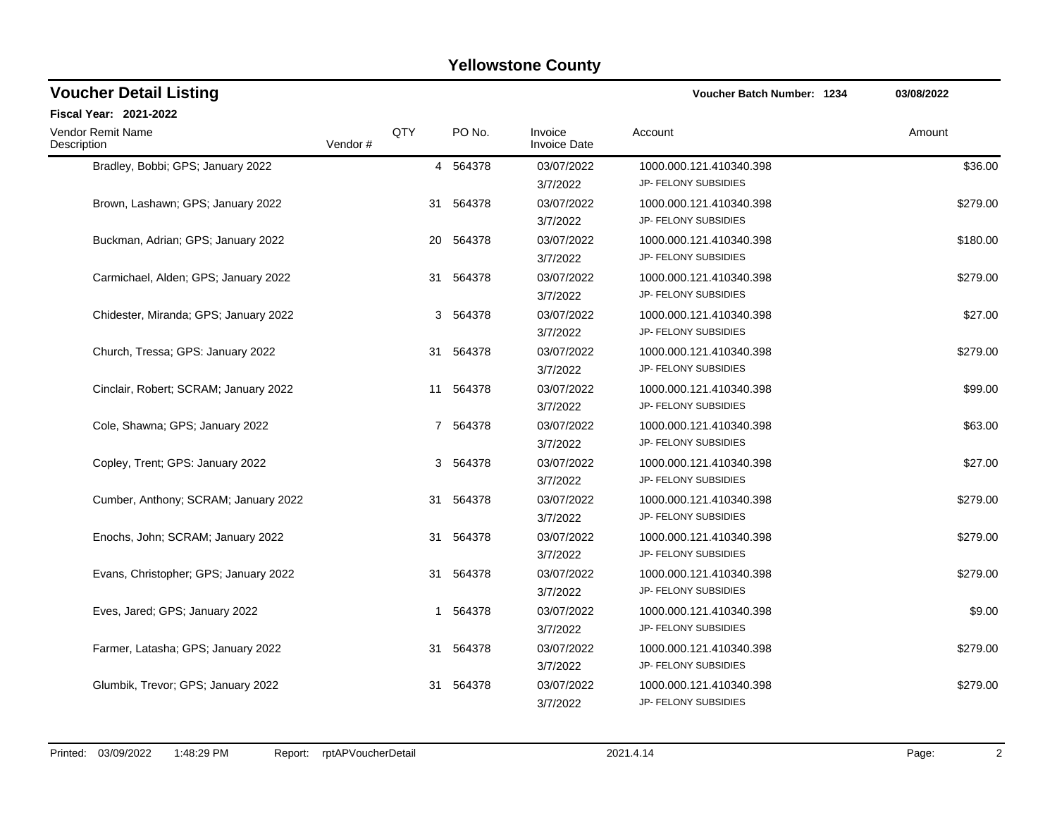| <b>Voucher Detail Listing</b>         |         |     |           |                                | <b>Voucher Batch Number: 1234</b>               | 03/08/2022 |
|---------------------------------------|---------|-----|-----------|--------------------------------|-------------------------------------------------|------------|
| Fiscal Year: 2021-2022                |         |     |           |                                |                                                 |            |
| Vendor Remit Name<br>Description      | Vendor# | QTY | PO No.    | Invoice<br><b>Invoice Date</b> | Account                                         | Amount     |
| Bradley, Bobbi; GPS; January 2022     |         |     | 4 564378  | 03/07/2022<br>3/7/2022         | 1000.000.121.410340.398<br>JP- FELONY SUBSIDIES | \$36.00    |
| Brown, Lashawn; GPS; January 2022     |         | 31  | 564378    | 03/07/2022<br>3/7/2022         | 1000.000.121.410340.398<br>JP- FELONY SUBSIDIES | \$279.00   |
| Buckman, Adrian; GPS; January 2022    |         |     | 20 564378 | 03/07/2022<br>3/7/2022         | 1000.000.121.410340.398<br>JP- FELONY SUBSIDIES | \$180.00   |
| Carmichael, Alden; GPS; January 2022  |         | 31  | 564378    | 03/07/2022<br>3/7/2022         | 1000.000.121.410340.398<br>JP- FELONY SUBSIDIES | \$279.00   |
| Chidester, Miranda; GPS; January 2022 |         |     | 3 564378  | 03/07/2022<br>3/7/2022         | 1000.000.121.410340.398<br>JP- FELONY SUBSIDIES | \$27.00    |
| Church, Tressa; GPS: January 2022     |         |     | 31 564378 | 03/07/2022<br>3/7/2022         | 1000.000.121.410340.398<br>JP- FELONY SUBSIDIES | \$279.00   |
| Cinclair, Robert; SCRAM; January 2022 |         |     | 11 564378 | 03/07/2022<br>3/7/2022         | 1000.000.121.410340.398<br>JP- FELONY SUBSIDIES | \$99.00    |
| Cole, Shawna; GPS; January 2022       |         |     | 7 564378  | 03/07/2022<br>3/7/2022         | 1000.000.121.410340.398<br>JP- FELONY SUBSIDIES | \$63.00    |
| Copley, Trent; GPS: January 2022      |         |     | 3 564378  | 03/07/2022<br>3/7/2022         | 1000.000.121.410340.398<br>JP- FELONY SUBSIDIES | \$27.00    |
| Cumber, Anthony: SCRAM: January 2022  |         | 31  | 564378    | 03/07/2022<br>3/7/2022         | 1000.000.121.410340.398<br>JP- FELONY SUBSIDIES | \$279.00   |
| Enochs, John; SCRAM; January 2022     |         |     | 31 564378 | 03/07/2022<br>3/7/2022         | 1000.000.121.410340.398<br>JP- FELONY SUBSIDIES | \$279.00   |
| Evans, Christopher; GPS; January 2022 |         | 31  | 564378    | 03/07/2022<br>3/7/2022         | 1000.000.121.410340.398<br>JP- FELONY SUBSIDIES | \$279.00   |
| Eves, Jared; GPS; January 2022        |         | 1   | 564378    | 03/07/2022<br>3/7/2022         | 1000.000.121.410340.398<br>JP- FELONY SUBSIDIES | \$9.00     |
| Farmer, Latasha; GPS; January 2022    |         | 31  | 564378    | 03/07/2022<br>3/7/2022         | 1000.000.121.410340.398<br>JP- FELONY SUBSIDIES | \$279.00   |
| Glumbik, Trevor: GPS: January 2022    |         | 31  | 564378    | 03/07/2022<br>3/7/2022         | 1000.000.121.410340.398<br>JP- FELONY SUBSIDIES | \$279.00   |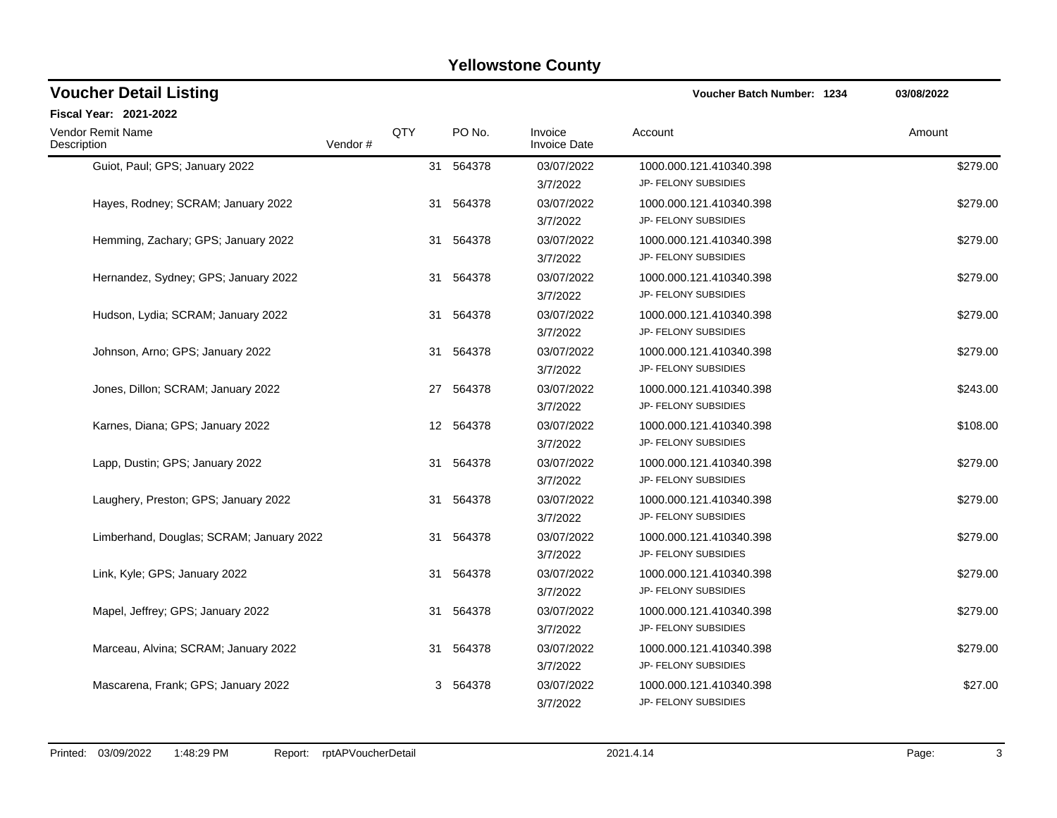| <b>Voucher Detail Listing</b>            |         |     |           |                                | <b>Voucher Batch Number: 1234</b>               | 03/08/2022 |
|------------------------------------------|---------|-----|-----------|--------------------------------|-------------------------------------------------|------------|
| Fiscal Year: 2021-2022                   |         |     |           |                                |                                                 |            |
| <b>Vendor Remit Name</b><br>Description  | Vendor# | QTY | PO No.    | Invoice<br><b>Invoice Date</b> | Account                                         | Amount     |
| Guiot, Paul; GPS; January 2022           |         |     | 31 564378 | 03/07/2022<br>3/7/2022         | 1000.000.121.410340.398<br>JP- FELONY SUBSIDIES | \$279.00   |
| Hayes, Rodney; SCRAM; January 2022       |         | 31  | 564378    | 03/07/2022<br>3/7/2022         | 1000.000.121.410340.398<br>JP- FELONY SUBSIDIES | \$279.00   |
| Hemming, Zachary; GPS; January 2022      |         | 31  | 564378    | 03/07/2022<br>3/7/2022         | 1000.000.121.410340.398<br>JP- FELONY SUBSIDIES | \$279.00   |
| Hernandez, Sydney; GPS; January 2022     |         | 31  | 564378    | 03/07/2022<br>3/7/2022         | 1000.000.121.410340.398<br>JP- FELONY SUBSIDIES | \$279.00   |
| Hudson, Lydia; SCRAM; January 2022       |         |     | 31 564378 | 03/07/2022<br>3/7/2022         | 1000.000.121.410340.398<br>JP- FELONY SUBSIDIES | \$279.00   |
| Johnson, Arno; GPS; January 2022         |         | 31  | 564378    | 03/07/2022<br>3/7/2022         | 1000.000.121.410340.398<br>JP- FELONY SUBSIDIES | \$279.00   |
| Jones, Dillon; SCRAM; January 2022       |         |     | 27 564378 | 03/07/2022<br>3/7/2022         | 1000.000.121.410340.398<br>JP- FELONY SUBSIDIES | \$243.00   |
| Karnes, Diana; GPS; January 2022         |         |     | 12 564378 | 03/07/2022<br>3/7/2022         | 1000.000.121.410340.398<br>JP- FELONY SUBSIDIES | \$108.00   |
| Lapp, Dustin; GPS; January 2022          |         |     | 31 564378 | 03/07/2022<br>3/7/2022         | 1000.000.121.410340.398<br>JP- FELONY SUBSIDIES | \$279.00   |
| Laughery, Preston; GPS; January 2022     |         | 31  | 564378    | 03/07/2022<br>3/7/2022         | 1000.000.121.410340.398<br>JP- FELONY SUBSIDIES | \$279.00   |
| Limberhand, Douglas; SCRAM; January 2022 |         |     | 31 564378 | 03/07/2022<br>3/7/2022         | 1000.000.121.410340.398<br>JP- FELONY SUBSIDIES | \$279.00   |
| Link, Kyle; GPS; January 2022            |         | 31  | 564378    | 03/07/2022<br>3/7/2022         | 1000.000.121.410340.398<br>JP- FELONY SUBSIDIES | \$279.00   |
| Mapel, Jeffrey; GPS; January 2022        |         | 31  | 564378    | 03/07/2022<br>3/7/2022         | 1000.000.121.410340.398<br>JP- FELONY SUBSIDIES | \$279.00   |
| Marceau, Alvina; SCRAM; January 2022     |         | 31  | 564378    | 03/07/2022<br>3/7/2022         | 1000.000.121.410340.398<br>JP- FELONY SUBSIDIES | \$279.00   |
| Mascarena, Frank; GPS; January 2022      |         |     | 3 564378  | 03/07/2022<br>3/7/2022         | 1000.000.121.410340.398<br>JP- FELONY SUBSIDIES | \$27.00    |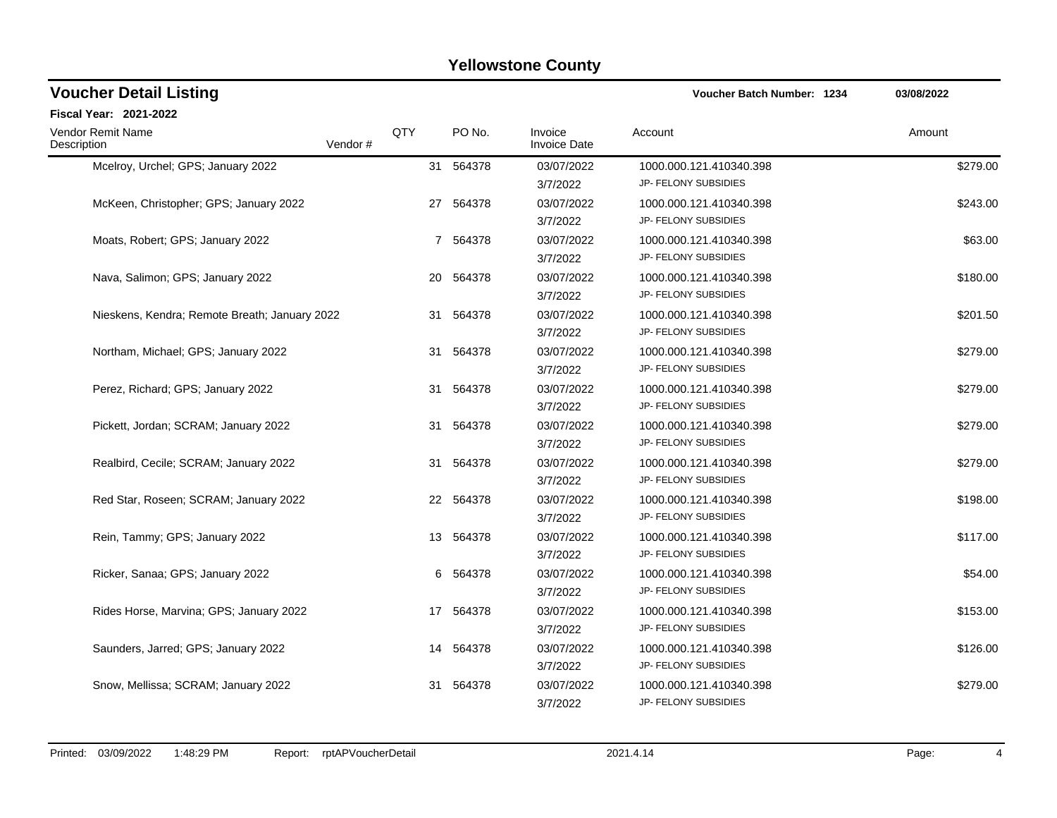| <b>Voucher Detail Listing</b>                 |         |     |           |                                | <b>Voucher Batch Number: 1234</b>               | 03/08/2022 |
|-----------------------------------------------|---------|-----|-----------|--------------------------------|-------------------------------------------------|------------|
| Fiscal Year: 2021-2022                        |         |     |           |                                |                                                 |            |
| <b>Vendor Remit Name</b><br>Description       | Vendor# | QTY | PO No.    | Invoice<br><b>Invoice Date</b> | Account                                         | Amount     |
| Mcelroy, Urchel; GPS; January 2022            |         |     | 31 564378 | 03/07/2022<br>3/7/2022         | 1000.000.121.410340.398<br>JP- FELONY SUBSIDIES | \$279.00   |
| McKeen, Christopher; GPS; January 2022        |         |     | 27 564378 | 03/07/2022<br>3/7/2022         | 1000.000.121.410340.398<br>JP- FELONY SUBSIDIES | \$243.00   |
| Moats, Robert; GPS; January 2022              |         |     | 7 564378  | 03/07/2022<br>3/7/2022         | 1000.000.121.410340.398<br>JP- FELONY SUBSIDIES | \$63.00    |
| Nava, Salimon; GPS; January 2022              |         | 20  | 564378    | 03/07/2022<br>3/7/2022         | 1000.000.121.410340.398<br>JP- FELONY SUBSIDIES | \$180.00   |
| Nieskens, Kendra; Remote Breath; January 2022 |         |     | 31 564378 | 03/07/2022<br>3/7/2022         | 1000.000.121.410340.398<br>JP- FELONY SUBSIDIES | \$201.50   |
| Northam, Michael; GPS; January 2022           |         | 31  | 564378    | 03/07/2022<br>3/7/2022         | 1000.000.121.410340.398<br>JP- FELONY SUBSIDIES | \$279.00   |
| Perez, Richard; GPS; January 2022             |         |     | 31 564378 | 03/07/2022<br>3/7/2022         | 1000.000.121.410340.398<br>JP- FELONY SUBSIDIES | \$279.00   |
| Pickett, Jordan; SCRAM; January 2022          |         |     | 31 564378 | 03/07/2022<br>3/7/2022         | 1000.000.121.410340.398<br>JP- FELONY SUBSIDIES | \$279.00   |
| Realbird, Cecile; SCRAM; January 2022         |         |     | 31 564378 | 03/07/2022<br>3/7/2022         | 1000.000.121.410340.398<br>JP- FELONY SUBSIDIES | \$279.00   |
| Red Star, Roseen; SCRAM; January 2022         |         |     | 22 564378 | 03/07/2022<br>3/7/2022         | 1000.000.121.410340.398<br>JP- FELONY SUBSIDIES | \$198.00   |
| Rein, Tammy; GPS; January 2022                |         |     | 13 564378 | 03/07/2022<br>3/7/2022         | 1000.000.121.410340.398<br>JP- FELONY SUBSIDIES | \$117.00   |
| Ricker, Sanaa; GPS; January 2022              |         |     | 6 564378  | 03/07/2022<br>3/7/2022         | 1000.000.121.410340.398<br>JP- FELONY SUBSIDIES | \$54.00    |
| Rides Horse, Marvina; GPS; January 2022       |         |     | 17 564378 | 03/07/2022<br>3/7/2022         | 1000.000.121.410340.398<br>JP- FELONY SUBSIDIES | \$153.00   |
| Saunders, Jarred: GPS; January 2022           |         | 14  | 564378    | 03/07/2022<br>3/7/2022         | 1000.000.121.410340.398<br>JP- FELONY SUBSIDIES | \$126.00   |
| Snow, Mellissa; SCRAM; January 2022           |         | 31  | 564378    | 03/07/2022<br>3/7/2022         | 1000.000.121.410340.398<br>JP- FELONY SUBSIDIES | \$279.00   |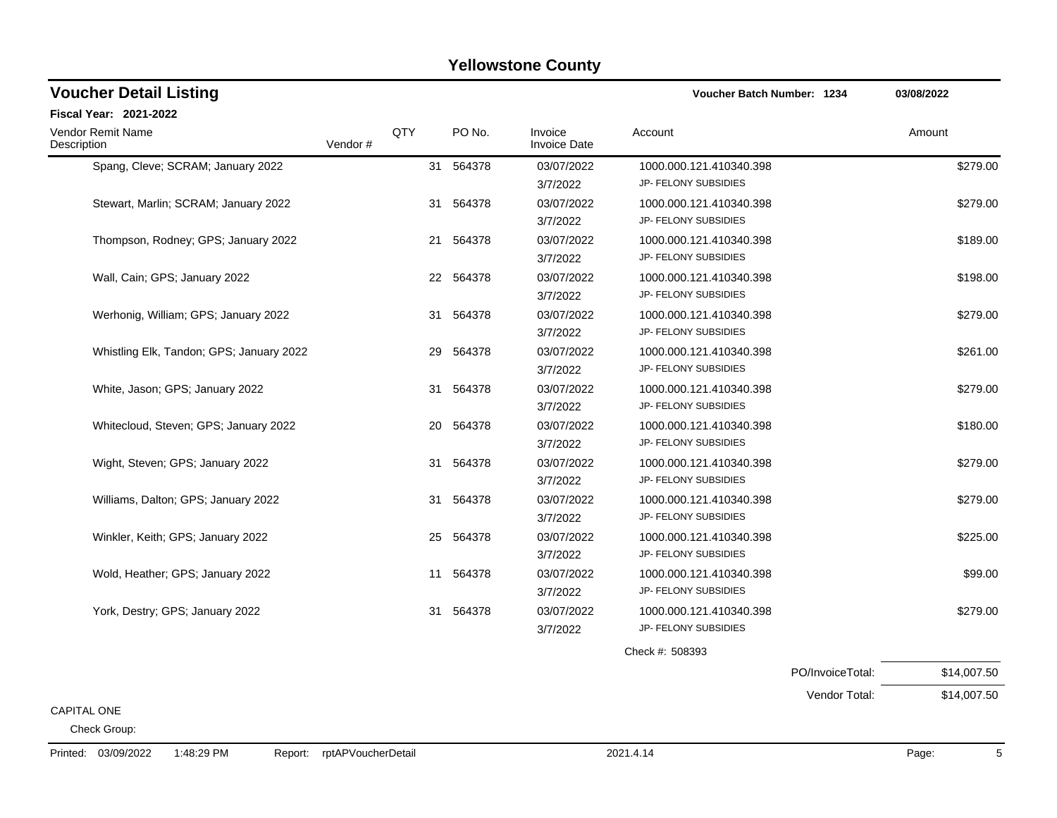| <b>Voucher Detail Listing</b>            |         |     |           |                                | <b>Voucher Batch Number: 1234</b>               |                  | 03/08/2022  |
|------------------------------------------|---------|-----|-----------|--------------------------------|-------------------------------------------------|------------------|-------------|
| <b>Fiscal Year: 2021-2022</b>            |         |     |           |                                |                                                 |                  |             |
| Vendor Remit Name<br>Description         | Vendor# | QTY | PO No.    | Invoice<br><b>Invoice Date</b> | Account                                         |                  | Amount      |
| Spang, Cleve; SCRAM; January 2022        |         | 31  | 564378    | 03/07/2022<br>3/7/2022         | 1000.000.121.410340.398<br>JP- FELONY SUBSIDIES |                  | \$279.00    |
| Stewart, Marlin; SCRAM; January 2022     |         | 31  | 564378    | 03/07/2022<br>3/7/2022         | 1000.000.121.410340.398<br>JP- FELONY SUBSIDIES |                  | \$279.00    |
| Thompson, Rodney; GPS; January 2022      |         | 21  | 564378    | 03/07/2022<br>3/7/2022         | 1000.000.121.410340.398<br>JP- FELONY SUBSIDIES |                  | \$189.00    |
| Wall, Cain; GPS; January 2022            |         | 22  | 564378    | 03/07/2022<br>3/7/2022         | 1000.000.121.410340.398<br>JP- FELONY SUBSIDIES |                  | \$198.00    |
| Werhonig, William; GPS; January 2022     |         |     | 31 564378 | 03/07/2022<br>3/7/2022         | 1000.000.121.410340.398<br>JP- FELONY SUBSIDIES |                  | \$279.00    |
| Whistling Elk, Tandon; GPS; January 2022 |         | 29  | 564378    | 03/07/2022<br>3/7/2022         | 1000.000.121.410340.398<br>JP- FELONY SUBSIDIES |                  | \$261.00    |
| White, Jason; GPS; January 2022          |         | 31  | 564378    | 03/07/2022<br>3/7/2022         | 1000.000.121.410340.398<br>JP- FELONY SUBSIDIES |                  | \$279.00    |
| Whitecloud, Steven; GPS; January 2022    |         |     | 20 564378 | 03/07/2022<br>3/7/2022         | 1000.000.121.410340.398<br>JP- FELONY SUBSIDIES |                  | \$180.00    |
| Wight, Steven; GPS; January 2022         |         | 31  | 564378    | 03/07/2022<br>3/7/2022         | 1000.000.121.410340.398<br>JP- FELONY SUBSIDIES |                  | \$279.00    |
| Williams, Dalton; GPS; January 2022      |         |     | 31 564378 | 03/07/2022<br>3/7/2022         | 1000.000.121.410340.398<br>JP- FELONY SUBSIDIES |                  | \$279.00    |
| Winkler, Keith; GPS; January 2022        |         | 25  | 564378    | 03/07/2022<br>3/7/2022         | 1000.000.121.410340.398<br>JP- FELONY SUBSIDIES |                  | \$225.00    |
| Wold, Heather; GPS; January 2022         |         | 11  | 564378    | 03/07/2022<br>3/7/2022         | 1000.000.121.410340.398<br>JP- FELONY SUBSIDIES |                  | \$99.00     |
| York, Destry; GPS; January 2022          |         |     | 31 564378 | 03/07/2022<br>3/7/2022         | 1000.000.121.410340.398<br>JP- FELONY SUBSIDIES |                  | \$279.00    |
|                                          |         |     |           |                                | Check #: 508393                                 |                  |             |
|                                          |         |     |           |                                |                                                 | PO/InvoiceTotal: | \$14,007.50 |
| <b>CAPITAL ONE</b>                       |         |     |           |                                |                                                 | Vendor Total:    | \$14,007.50 |

Check Group: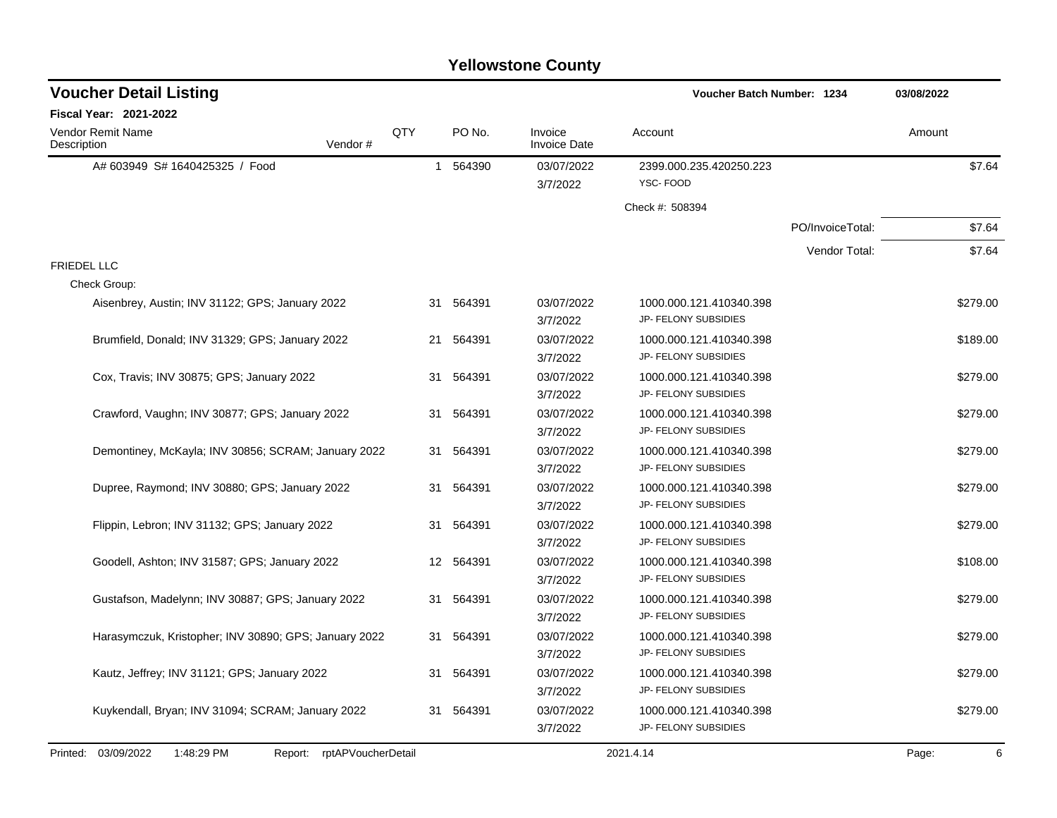| <b>Voucher Detail Listing</b>                         |                               |     |           |                                | Voucher Batch Number: 1234                      |                  | 03/08/2022 |
|-------------------------------------------------------|-------------------------------|-----|-----------|--------------------------------|-------------------------------------------------|------------------|------------|
| <b>Fiscal Year: 2021-2022</b>                         |                               |     |           |                                |                                                 |                  |            |
| <b>Vendor Remit Name</b><br>Description               | Vendor#                       | QTY | PO No.    | Invoice<br><b>Invoice Date</b> | Account                                         |                  | Amount     |
| A# 603949 S# 1640425325 / Food                        |                               |     | 1 564390  | 03/07/2022                     | 2399.000.235.420250.223                         |                  | \$7.64     |
|                                                       |                               |     |           | 3/7/2022                       | YSC-FOOD                                        |                  |            |
|                                                       |                               |     |           |                                | Check #: 508394                                 |                  |            |
|                                                       |                               |     |           |                                |                                                 | PO/InvoiceTotal: | \$7.64     |
|                                                       |                               |     |           |                                |                                                 | Vendor Total:    | \$7.64     |
| <b>FRIEDEL LLC</b>                                    |                               |     |           |                                |                                                 |                  |            |
| Check Group:                                          |                               |     |           |                                |                                                 |                  |            |
| Aisenbrey, Austin; INV 31122; GPS; January 2022       |                               |     | 31 564391 | 03/07/2022                     | 1000.000.121.410340.398                         |                  | \$279.00   |
|                                                       |                               |     |           | 3/7/2022                       | JP- FELONY SUBSIDIES                            |                  |            |
| Brumfield, Donald; INV 31329; GPS; January 2022       |                               |     | 21 564391 | 03/07/2022                     | 1000.000.121.410340.398                         |                  | \$189.00   |
|                                                       |                               |     |           | 3/7/2022                       | JP- FELONY SUBSIDIES                            |                  |            |
| Cox, Travis; INV 30875; GPS; January 2022             |                               | 31  | 564391    | 03/07/2022<br>3/7/2022         | 1000.000.121.410340.398<br>JP- FELONY SUBSIDIES |                  | \$279.00   |
| Crawford, Vaughn; INV 30877; GPS; January 2022        |                               |     | 31 564391 | 03/07/2022                     | 1000.000.121.410340.398                         |                  | \$279.00   |
|                                                       |                               |     |           | 3/7/2022                       | JP- FELONY SUBSIDIES                            |                  |            |
| Demontiney, McKayla; INV 30856; SCRAM; January 2022   |                               | 31  | 564391    | 03/07/2022                     | 1000.000.121.410340.398                         |                  | \$279.00   |
|                                                       |                               |     |           | 3/7/2022                       | JP- FELONY SUBSIDIES                            |                  |            |
| Dupree, Raymond; INV 30880; GPS; January 2022         |                               | 31  | 564391    | 03/07/2022                     | 1000.000.121.410340.398                         |                  | \$279.00   |
|                                                       |                               |     |           | 3/7/2022                       | JP- FELONY SUBSIDIES                            |                  |            |
| Flippin, Lebron; INV 31132; GPS; January 2022         |                               | 31  | 564391    | 03/07/2022                     | 1000.000.121.410340.398                         |                  | \$279.00   |
|                                                       |                               |     |           | 3/7/2022                       | JP- FELONY SUBSIDIES                            |                  |            |
| Goodell, Ashton; INV 31587; GPS; January 2022         |                               | 12  | 564391    | 03/07/2022                     | 1000.000.121.410340.398                         |                  | \$108.00   |
|                                                       |                               |     |           | 3/7/2022                       | JP- FELONY SUBSIDIES                            |                  |            |
| Gustafson, Madelynn; INV 30887; GPS; January 2022     |                               | 31  | 564391    | 03/07/2022                     | 1000.000.121.410340.398                         |                  | \$279.00   |
|                                                       |                               |     |           | 3/7/2022                       | JP- FELONY SUBSIDIES                            |                  |            |
| Harasymczuk, Kristopher; INV 30890; GPS; January 2022 |                               | 31  | 564391    | 03/07/2022                     | 1000.000.121.410340.398                         |                  | \$279.00   |
|                                                       |                               |     |           | 3/7/2022                       | JP- FELONY SUBSIDIES                            |                  |            |
| Kautz, Jeffrey; INV 31121; GPS; January 2022          |                               | 31  | 564391    | 03/07/2022                     | 1000.000.121.410340.398                         |                  | \$279.00   |
|                                                       |                               |     |           | 3/7/2022                       | JP- FELONY SUBSIDIES                            |                  |            |
| Kuykendall, Bryan; INV 31094; SCRAM; January 2022     |                               |     | 31 564391 | 03/07/2022                     | 1000.000.121.410340.398                         |                  | \$279.00   |
|                                                       |                               |     |           | 3/7/2022                       | JP- FELONY SUBSIDIES                            |                  |            |
| Printed: 03/09/2022<br>1:48:29 PM                     | rptAPVoucherDetail<br>Report: |     |           |                                | 2021.4.14                                       |                  | 6<br>Page: |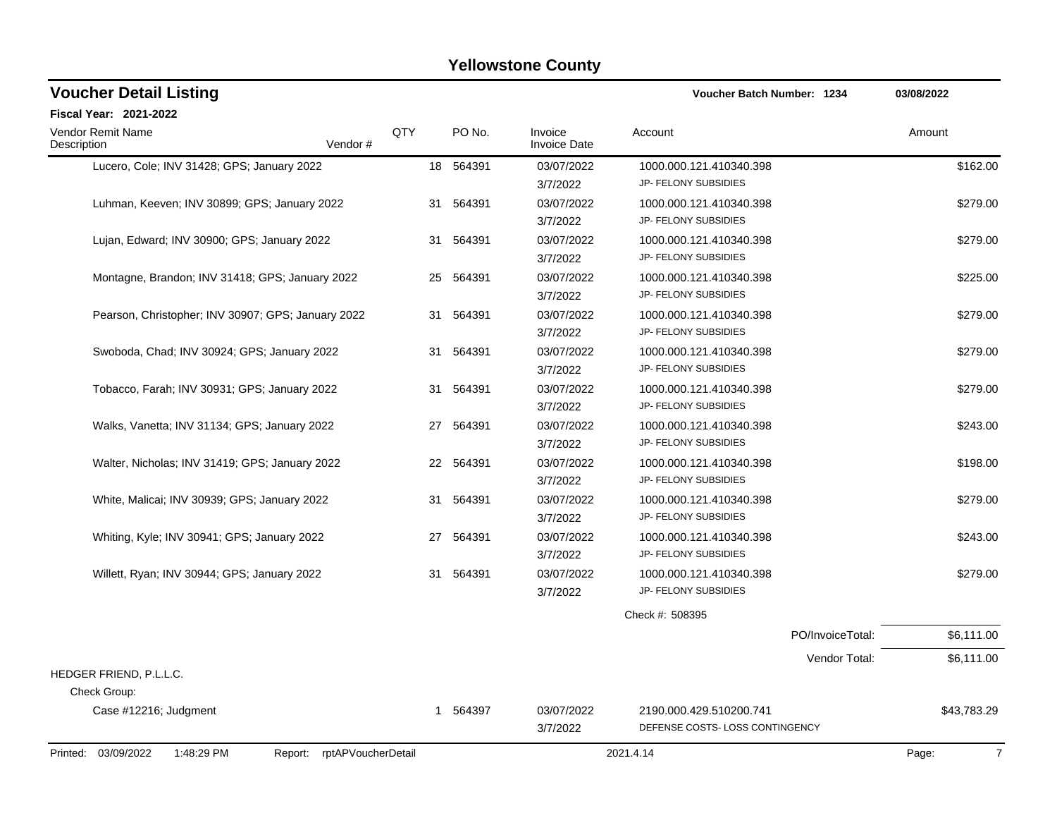| <b>Voucher Detail Listing</b>                      |                            |              |           |                                | <b>Voucher Batch Number: 1234</b>                         |                  | 03/08/2022              |
|----------------------------------------------------|----------------------------|--------------|-----------|--------------------------------|-----------------------------------------------------------|------------------|-------------------------|
| <b>Fiscal Year: 2021-2022</b>                      |                            |              |           |                                |                                                           |                  |                         |
| Vendor Remit Name<br>Description                   | Vendor#                    | QTY          | PO No.    | Invoice<br><b>Invoice Date</b> | Account                                                   |                  | Amount                  |
| Lucero, Cole; INV 31428; GPS; January 2022         |                            |              | 18 564391 | 03/07/2022                     | 1000.000.121.410340.398                                   |                  | \$162.00                |
|                                                    |                            |              |           | 3/7/2022                       | JP- FELONY SUBSIDIES                                      |                  |                         |
| Luhman, Keeven; INV 30899; GPS; January 2022       |                            | 31           | 564391    | 03/07/2022                     | 1000.000.121.410340.398                                   |                  | \$279.00                |
|                                                    |                            |              |           | 3/7/2022                       | JP- FELONY SUBSIDIES                                      |                  |                         |
| Lujan, Edward; INV 30900; GPS; January 2022        |                            | 31           | 564391    | 03/07/2022                     | 1000.000.121.410340.398                                   |                  | \$279.00                |
|                                                    |                            |              |           | 3/7/2022                       | JP- FELONY SUBSIDIES                                      |                  |                         |
| Montagne, Brandon; INV 31418; GPS; January 2022    |                            | 25           | 564391    | 03/07/2022                     | 1000.000.121.410340.398                                   |                  | \$225.00                |
|                                                    |                            |              |           | 3/7/2022                       | JP- FELONY SUBSIDIES                                      |                  |                         |
| Pearson, Christopher; INV 30907; GPS; January 2022 |                            | 31           | 564391    | 03/07/2022                     | 1000.000.121.410340.398                                   |                  | \$279.00                |
|                                                    |                            |              |           | 3/7/2022                       | JP- FELONY SUBSIDIES                                      |                  |                         |
| Swoboda, Chad; INV 30924; GPS; January 2022        |                            | 31           | 564391    | 03/07/2022                     | 1000.000.121.410340.398                                   |                  | \$279.00                |
|                                                    |                            |              |           | 3/7/2022                       | JP- FELONY SUBSIDIES                                      |                  |                         |
| Tobacco, Farah; INV 30931; GPS; January 2022       |                            | 31           | 564391    | 03/07/2022                     | 1000.000.121.410340.398                                   |                  | \$279.00                |
|                                                    |                            |              |           | 3/7/2022                       | JP- FELONY SUBSIDIES                                      |                  |                         |
| Walks, Vanetta; INV 31134; GPS; January 2022       |                            | 27           | 564391    | 03/07/2022                     | 1000.000.121.410340.398                                   |                  | \$243.00                |
|                                                    |                            |              |           | 3/7/2022                       | JP- FELONY SUBSIDIES                                      |                  |                         |
| Walter, Nicholas; INV 31419; GPS; January 2022     |                            | 22           | 564391    | 03/07/2022                     | 1000.000.121.410340.398                                   |                  | \$198.00                |
|                                                    |                            |              |           | 3/7/2022                       | JP- FELONY SUBSIDIES                                      |                  |                         |
| White, Malicai; INV 30939; GPS; January 2022       |                            | 31           | 564391    | 03/07/2022                     | 1000.000.121.410340.398                                   |                  | \$279.00                |
|                                                    |                            |              |           | 3/7/2022                       | JP- FELONY SUBSIDIES                                      |                  |                         |
| Whiting, Kyle; INV 30941; GPS; January 2022        |                            | 27           | 564391    | 03/07/2022                     | 1000.000.121.410340.398                                   |                  | \$243.00                |
|                                                    |                            |              |           | 3/7/2022                       | JP- FELONY SUBSIDIES                                      |                  |                         |
| Willett, Ryan; INV 30944; GPS; January 2022        |                            | 31           | 564391    | 03/07/2022                     | 1000.000.121.410340.398                                   |                  | \$279.00                |
|                                                    |                            |              |           | 3/7/2022                       | JP- FELONY SUBSIDIES                                      |                  |                         |
|                                                    |                            |              |           |                                | Check #: 508395                                           |                  |                         |
|                                                    |                            |              |           |                                |                                                           | PO/InvoiceTotal: | \$6,111.00              |
|                                                    |                            |              |           |                                |                                                           | Vendor Total:    | \$6,111.00              |
| HEDGER FRIEND, P.L.L.C.                            |                            |              |           |                                |                                                           |                  |                         |
| Check Group:                                       |                            |              |           |                                |                                                           |                  |                         |
| Case #12216; Judgment                              |                            | $\mathbf{1}$ | 564397    | 03/07/2022<br>3/7/2022         | 2190.000.429.510200.741<br>DEFENSE COSTS-LOSS CONTINGENCY |                  | \$43,783.29             |
| Printed: 03/09/2022<br>1:48:29 PM                  | Report: rptAPVoucherDetail |              |           |                                | 2021.4.14                                                 |                  | $\overline{7}$<br>Page: |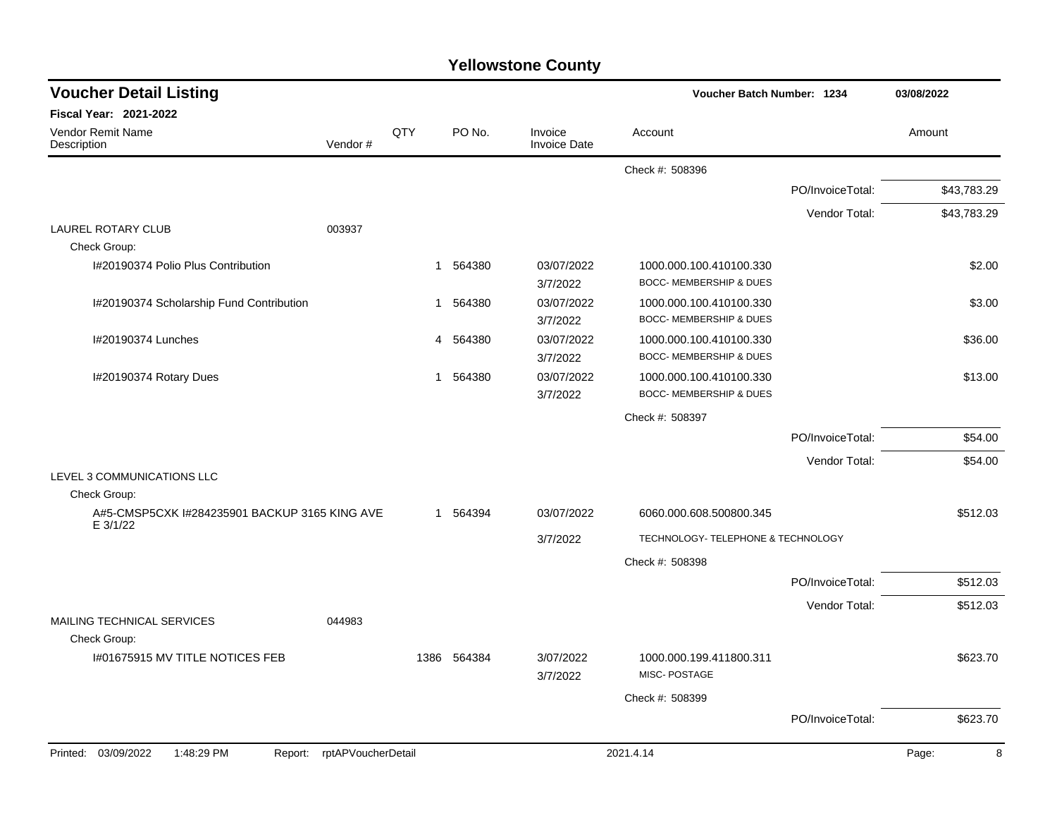|                                                           |         |     |             |                                | Voucher Batch Number: 1234                                    |                  | 03/08/2022  |
|-----------------------------------------------------------|---------|-----|-------------|--------------------------------|---------------------------------------------------------------|------------------|-------------|
| <b>Fiscal Year: 2021-2022</b>                             |         |     |             |                                |                                                               |                  |             |
| <b>Vendor Remit Name</b><br>Description                   | Vendor# | QTY | PO No.      | Invoice<br><b>Invoice Date</b> | Account                                                       |                  | Amount      |
|                                                           |         |     |             |                                | Check #: 508396                                               |                  |             |
|                                                           |         |     |             |                                |                                                               | PO/InvoiceTotal: | \$43,783.29 |
|                                                           |         |     |             |                                |                                                               | Vendor Total:    | \$43,783.29 |
| 003937<br><b>LAUREL ROTARY CLUB</b>                       |         |     |             |                                |                                                               |                  |             |
| Check Group:                                              |         |     |             |                                |                                                               |                  |             |
| I#20190374 Polio Plus Contribution                        |         | 1   | 564380      | 03/07/2022<br>3/7/2022         | 1000.000.100.410100.330<br><b>BOCC- MEMBERSHIP &amp; DUES</b> |                  | \$2.00      |
| I#20190374 Scholarship Fund Contribution                  |         | 1   | 564380      | 03/07/2022                     | 1000.000.100.410100.330                                       |                  | \$3.00      |
|                                                           |         |     |             | 3/7/2022                       | BOCC- MEMBERSHIP & DUES                                       |                  |             |
| I#20190374 Lunches                                        |         | 4   | 564380      | 03/07/2022                     | 1000.000.100.410100.330                                       |                  | \$36.00     |
|                                                           |         |     |             | 3/7/2022                       | <b>BOCC- MEMBERSHIP &amp; DUES</b>                            |                  |             |
| I#20190374 Rotary Dues                                    |         | 1   | 564380      | 03/07/2022                     | 1000.000.100.410100.330                                       |                  | \$13.00     |
|                                                           |         |     |             | 3/7/2022                       | BOCC- MEMBERSHIP & DUES                                       |                  |             |
|                                                           |         |     |             |                                | Check #: 508397                                               |                  |             |
|                                                           |         |     |             |                                |                                                               | PO/InvoiceTotal: | \$54.00     |
|                                                           |         |     |             |                                |                                                               | Vendor Total:    | \$54.00     |
| LEVEL 3 COMMUNICATIONS LLC                                |         |     |             |                                |                                                               |                  |             |
| Check Group:                                              |         |     |             |                                |                                                               |                  |             |
| A#5-CMSP5CXK I#284235901 BACKUP 3165 KING AVE<br>E 3/1/22 |         |     | 1 564394    | 03/07/2022                     | 6060.000.608.500800.345                                       |                  | \$512.03    |
|                                                           |         |     |             | 3/7/2022                       | TECHNOLOGY- TELEPHONE & TECHNOLOGY                            |                  |             |
|                                                           |         |     |             |                                | Check #: 508398                                               |                  |             |
|                                                           |         |     |             |                                |                                                               | PO/InvoiceTotal: | \$512.03    |
|                                                           |         |     |             |                                |                                                               | Vendor Total:    | \$512.03    |
| MAILING TECHNICAL SERVICES<br>044983<br>Check Group:      |         |     |             |                                |                                                               |                  |             |
| I#01675915 MV TITLE NOTICES FEB                           |         |     | 1386 564384 | 3/07/2022                      | 1000.000.199.411800.311                                       |                  | \$623.70    |
|                                                           |         |     |             | 3/7/2022                       | MISC-POSTAGE                                                  |                  |             |
|                                                           |         |     |             |                                | Check #: 508399                                               |                  |             |
|                                                           |         |     |             |                                |                                                               | PO/InvoiceTotal: | \$623.70    |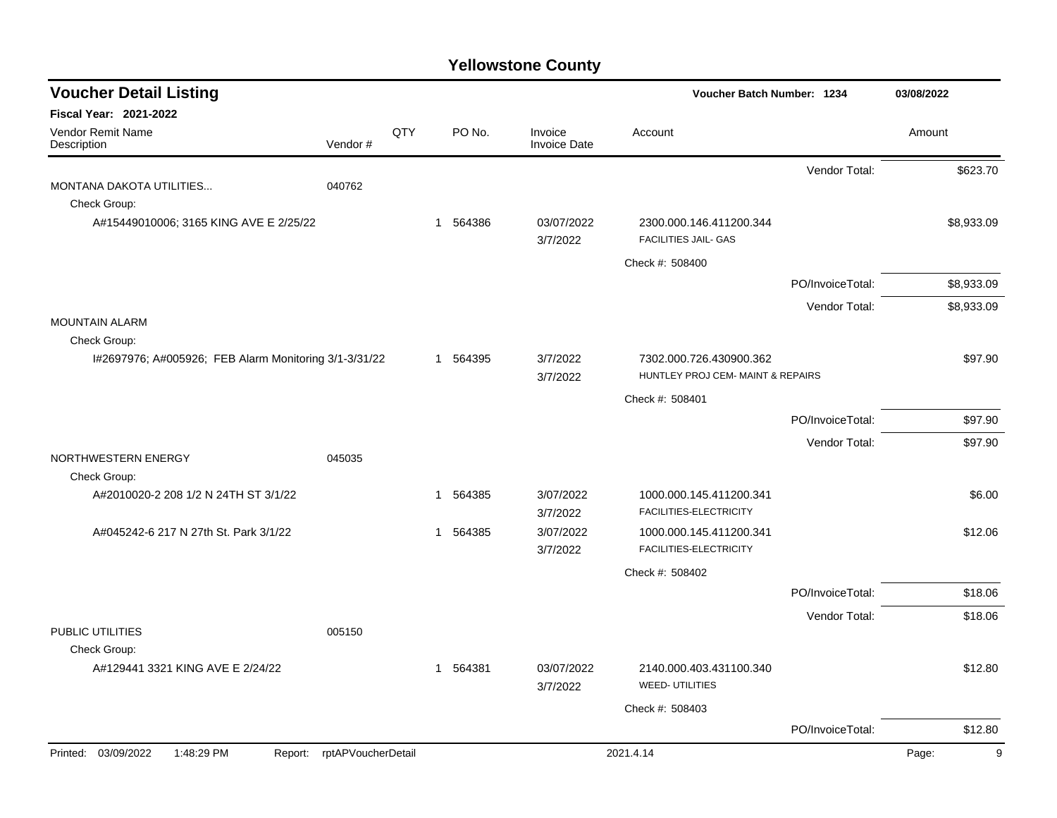| <b>Voucher Detail Listing</b>                                         |                    |     |             |                                | Voucher Batch Number: 1234                             |                  | 03/08/2022 |
|-----------------------------------------------------------------------|--------------------|-----|-------------|--------------------------------|--------------------------------------------------------|------------------|------------|
| Fiscal Year: 2021-2022                                                |                    |     |             |                                |                                                        |                  |            |
| Vendor Remit Name<br>Description                                      | Vendor#            | QTY | PO No.      | Invoice<br><b>Invoice Date</b> | Account                                                |                  | Amount     |
|                                                                       |                    |     |             |                                |                                                        | Vendor Total:    | \$623.70   |
| MONTANA DAKOTA UTILITIES<br>Check Group:                              | 040762             |     |             |                                |                                                        |                  |            |
| A#15449010006; 3165 KING AVE E 2/25/22                                |                    |     | 1 564386    | 03/07/2022<br>3/7/2022         | 2300.000.146.411200.344<br><b>FACILITIES JAIL- GAS</b> |                  | \$8,933.09 |
|                                                                       |                    |     |             |                                | Check #: 508400                                        |                  |            |
|                                                                       |                    |     |             |                                |                                                        | PO/InvoiceTotal: | \$8,933.09 |
|                                                                       |                    |     |             |                                |                                                        | Vendor Total:    | \$8,933.09 |
| <b>MOUNTAIN ALARM</b>                                                 |                    |     |             |                                |                                                        |                  |            |
| Check Group:<br>I#2697976; A#005926; FEB Alarm Monitoring 3/1-3/31/22 |                    |     | 1 564395    | 3/7/2022                       | 7302.000.726.430900.362                                |                  | \$97.90    |
|                                                                       |                    |     |             | 3/7/2022                       | HUNTLEY PROJ CEM- MAINT & REPAIRS                      |                  |            |
|                                                                       |                    |     |             |                                | Check #: 508401                                        |                  |            |
|                                                                       |                    |     |             |                                |                                                        | PO/InvoiceTotal: | \$97.90    |
|                                                                       |                    |     |             |                                |                                                        | Vendor Total:    | \$97.90    |
| NORTHWESTERN ENERGY                                                   | 045035             |     |             |                                |                                                        |                  |            |
| Check Group:<br>A#2010020-2 208 1/2 N 24TH ST 3/1/22                  |                    |     | 1 564385    | 3/07/2022                      | 1000.000.145.411200.341                                |                  | \$6.00     |
|                                                                       |                    |     |             | 3/7/2022                       | FACILITIES-ELECTRICITY                                 |                  |            |
| A#045242-6 217 N 27th St. Park 3/1/22                                 |                    |     | 1 564385    | 3/07/2022                      | 1000.000.145.411200.341                                |                  | \$12.06    |
|                                                                       |                    |     |             | 3/7/2022                       | FACILITIES-ELECTRICITY                                 |                  |            |
|                                                                       |                    |     |             |                                | Check #: 508402                                        |                  |            |
|                                                                       |                    |     |             |                                |                                                        | PO/InvoiceTotal: | \$18.06    |
| PUBLIC UTILITIES                                                      | 005150             |     |             |                                |                                                        | Vendor Total:    | \$18.06    |
| Check Group:                                                          |                    |     |             |                                |                                                        |                  |            |
| A#129441 3321 KING AVE E 2/24/22                                      |                    |     | 564381<br>1 | 03/07/2022<br>3/7/2022         | 2140.000.403.431100.340<br><b>WEED-UTILITIES</b>       |                  | \$12.80    |
|                                                                       |                    |     |             |                                | Check #: 508403                                        |                  |            |
|                                                                       |                    |     |             |                                |                                                        | PO/InvoiceTotal: | \$12.80    |
| Printed: 03/09/2022<br>1:48:29 PM<br>Report:                          | rptAPVoucherDetail |     |             |                                | 2021.4.14                                              |                  | Page:<br>9 |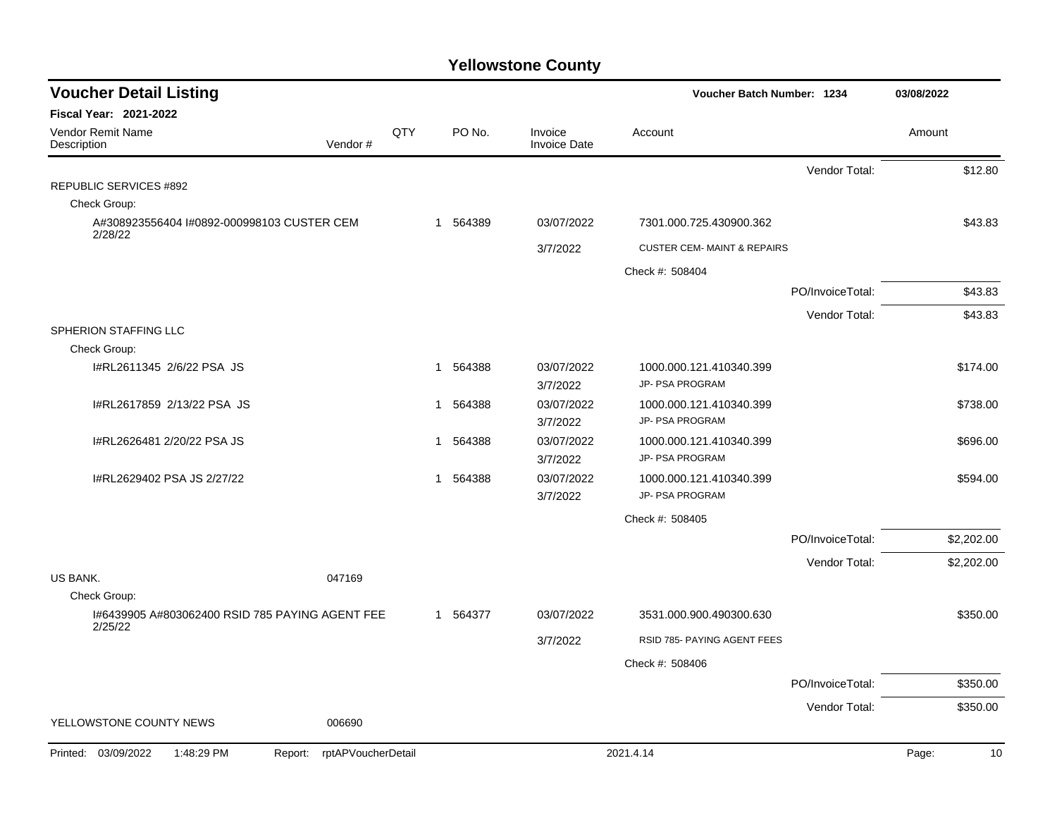| QTY<br>PO No.<br>Invoice<br>Account<br>Amount<br>Vendor#<br><b>Invoice Date</b><br>Vendor Total:<br>\$12.80<br>Check Group:<br>1 564389<br>03/07/2022<br>\$43.83<br>A#308923556404 I#0892-000998103 CUSTER CEM<br>7301.000.725.430900.362<br>2/28/22<br>3/7/2022<br><b>CUSTER CEM- MAINT &amp; REPAIRS</b><br>Check #: 508404<br>\$43.83<br>PO/InvoiceTotal:<br>Vendor Total:<br>\$43.83<br>Check Group:<br>I#RL2611345 2/6/22 PSA JS<br>564388<br>03/07/2022<br>1000.000.121.410340.399<br>\$174.00<br>1<br>3/7/2022<br>JP- PSA PROGRAM<br>I#RL2617859 2/13/22 PSA JS<br>564388<br>03/07/2022<br>\$738.00<br>1000.000.121.410340.399<br>1<br>3/7/2022<br>JP- PSA PROGRAM<br>03/07/2022<br>I#RL2626481 2/20/22 PSA JS<br>564388<br>1000.000.121.410340.399<br>\$696.00<br>1<br>JP- PSA PROGRAM<br>3/7/2022<br>I#RL2629402 PSA JS 2/27/22<br>03/07/2022<br>564388<br>1000.000.121.410340.399<br>\$594.00<br>$\mathbf{1}$<br>JP- PSA PROGRAM<br>3/7/2022<br>Check #: 508405<br>PO/InvoiceTotal:<br>\$2,202.00<br>Vendor Total:<br>\$2,202.00<br><b>US BANK.</b><br>047169<br>Check Group:<br>1#6439905 A#803062400 RSID 785 PAYING AGENT FEE<br>3531.000.900.490300.630<br>\$350.00<br>1 564377<br>03/07/2022<br>2/25/22<br>RSID 785- PAYING AGENT FEES<br>3/7/2022<br>Check #: 508406<br>PO/InvoiceTotal:<br>\$350.00 | <b>Voucher Detail Listing</b>    |  |  | Voucher Batch Number: 1234 |               | 03/08/2022 |  |
|----------------------------------------------------------------------------------------------------------------------------------------------------------------------------------------------------------------------------------------------------------------------------------------------------------------------------------------------------------------------------------------------------------------------------------------------------------------------------------------------------------------------------------------------------------------------------------------------------------------------------------------------------------------------------------------------------------------------------------------------------------------------------------------------------------------------------------------------------------------------------------------------------------------------------------------------------------------------------------------------------------------------------------------------------------------------------------------------------------------------------------------------------------------------------------------------------------------------------------------------------------------------------------------------------------------------|----------------------------------|--|--|----------------------------|---------------|------------|--|
|                                                                                                                                                                                                                                                                                                                                                                                                                                                                                                                                                                                                                                                                                                                                                                                                                                                                                                                                                                                                                                                                                                                                                                                                                                                                                                                      | <b>Fiscal Year: 2021-2022</b>    |  |  |                            |               |            |  |
|                                                                                                                                                                                                                                                                                                                                                                                                                                                                                                                                                                                                                                                                                                                                                                                                                                                                                                                                                                                                                                                                                                                                                                                                                                                                                                                      | Vendor Remit Name<br>Description |  |  |                            |               |            |  |
|                                                                                                                                                                                                                                                                                                                                                                                                                                                                                                                                                                                                                                                                                                                                                                                                                                                                                                                                                                                                                                                                                                                                                                                                                                                                                                                      |                                  |  |  |                            |               |            |  |
|                                                                                                                                                                                                                                                                                                                                                                                                                                                                                                                                                                                                                                                                                                                                                                                                                                                                                                                                                                                                                                                                                                                                                                                                                                                                                                                      | <b>REPUBLIC SERVICES #892</b>    |  |  |                            |               |            |  |
|                                                                                                                                                                                                                                                                                                                                                                                                                                                                                                                                                                                                                                                                                                                                                                                                                                                                                                                                                                                                                                                                                                                                                                                                                                                                                                                      |                                  |  |  |                            |               |            |  |
|                                                                                                                                                                                                                                                                                                                                                                                                                                                                                                                                                                                                                                                                                                                                                                                                                                                                                                                                                                                                                                                                                                                                                                                                                                                                                                                      |                                  |  |  |                            |               |            |  |
|                                                                                                                                                                                                                                                                                                                                                                                                                                                                                                                                                                                                                                                                                                                                                                                                                                                                                                                                                                                                                                                                                                                                                                                                                                                                                                                      |                                  |  |  |                            |               |            |  |
|                                                                                                                                                                                                                                                                                                                                                                                                                                                                                                                                                                                                                                                                                                                                                                                                                                                                                                                                                                                                                                                                                                                                                                                                                                                                                                                      |                                  |  |  |                            |               |            |  |
|                                                                                                                                                                                                                                                                                                                                                                                                                                                                                                                                                                                                                                                                                                                                                                                                                                                                                                                                                                                                                                                                                                                                                                                                                                                                                                                      |                                  |  |  |                            |               |            |  |
|                                                                                                                                                                                                                                                                                                                                                                                                                                                                                                                                                                                                                                                                                                                                                                                                                                                                                                                                                                                                                                                                                                                                                                                                                                                                                                                      |                                  |  |  |                            |               |            |  |
|                                                                                                                                                                                                                                                                                                                                                                                                                                                                                                                                                                                                                                                                                                                                                                                                                                                                                                                                                                                                                                                                                                                                                                                                                                                                                                                      | SPHERION STAFFING LLC            |  |  |                            |               |            |  |
|                                                                                                                                                                                                                                                                                                                                                                                                                                                                                                                                                                                                                                                                                                                                                                                                                                                                                                                                                                                                                                                                                                                                                                                                                                                                                                                      |                                  |  |  |                            |               |            |  |
|                                                                                                                                                                                                                                                                                                                                                                                                                                                                                                                                                                                                                                                                                                                                                                                                                                                                                                                                                                                                                                                                                                                                                                                                                                                                                                                      |                                  |  |  |                            |               |            |  |
|                                                                                                                                                                                                                                                                                                                                                                                                                                                                                                                                                                                                                                                                                                                                                                                                                                                                                                                                                                                                                                                                                                                                                                                                                                                                                                                      |                                  |  |  |                            |               |            |  |
|                                                                                                                                                                                                                                                                                                                                                                                                                                                                                                                                                                                                                                                                                                                                                                                                                                                                                                                                                                                                                                                                                                                                                                                                                                                                                                                      |                                  |  |  |                            |               |            |  |
|                                                                                                                                                                                                                                                                                                                                                                                                                                                                                                                                                                                                                                                                                                                                                                                                                                                                                                                                                                                                                                                                                                                                                                                                                                                                                                                      |                                  |  |  |                            |               |            |  |
|                                                                                                                                                                                                                                                                                                                                                                                                                                                                                                                                                                                                                                                                                                                                                                                                                                                                                                                                                                                                                                                                                                                                                                                                                                                                                                                      |                                  |  |  |                            |               |            |  |
|                                                                                                                                                                                                                                                                                                                                                                                                                                                                                                                                                                                                                                                                                                                                                                                                                                                                                                                                                                                                                                                                                                                                                                                                                                                                                                                      |                                  |  |  |                            |               |            |  |
|                                                                                                                                                                                                                                                                                                                                                                                                                                                                                                                                                                                                                                                                                                                                                                                                                                                                                                                                                                                                                                                                                                                                                                                                                                                                                                                      |                                  |  |  |                            |               |            |  |
|                                                                                                                                                                                                                                                                                                                                                                                                                                                                                                                                                                                                                                                                                                                                                                                                                                                                                                                                                                                                                                                                                                                                                                                                                                                                                                                      |                                  |  |  |                            |               |            |  |
|                                                                                                                                                                                                                                                                                                                                                                                                                                                                                                                                                                                                                                                                                                                                                                                                                                                                                                                                                                                                                                                                                                                                                                                                                                                                                                                      |                                  |  |  |                            |               |            |  |
|                                                                                                                                                                                                                                                                                                                                                                                                                                                                                                                                                                                                                                                                                                                                                                                                                                                                                                                                                                                                                                                                                                                                                                                                                                                                                                                      |                                  |  |  |                            |               |            |  |
|                                                                                                                                                                                                                                                                                                                                                                                                                                                                                                                                                                                                                                                                                                                                                                                                                                                                                                                                                                                                                                                                                                                                                                                                                                                                                                                      |                                  |  |  |                            |               |            |  |
|                                                                                                                                                                                                                                                                                                                                                                                                                                                                                                                                                                                                                                                                                                                                                                                                                                                                                                                                                                                                                                                                                                                                                                                                                                                                                                                      |                                  |  |  |                            |               |            |  |
|                                                                                                                                                                                                                                                                                                                                                                                                                                                                                                                                                                                                                                                                                                                                                                                                                                                                                                                                                                                                                                                                                                                                                                                                                                                                                                                      |                                  |  |  |                            |               |            |  |
|                                                                                                                                                                                                                                                                                                                                                                                                                                                                                                                                                                                                                                                                                                                                                                                                                                                                                                                                                                                                                                                                                                                                                                                                                                                                                                                      |                                  |  |  |                            |               |            |  |
|                                                                                                                                                                                                                                                                                                                                                                                                                                                                                                                                                                                                                                                                                                                                                                                                                                                                                                                                                                                                                                                                                                                                                                                                                                                                                                                      |                                  |  |  |                            |               |            |  |
|                                                                                                                                                                                                                                                                                                                                                                                                                                                                                                                                                                                                                                                                                                                                                                                                                                                                                                                                                                                                                                                                                                                                                                                                                                                                                                                      |                                  |  |  |                            |               |            |  |
| 006690                                                                                                                                                                                                                                                                                                                                                                                                                                                                                                                                                                                                                                                                                                                                                                                                                                                                                                                                                                                                                                                                                                                                                                                                                                                                                                               | YELLOWSTONE COUNTY NEWS          |  |  |                            | Vendor Total: | \$350.00   |  |
| 1:48:29 PM<br>rptAPVoucherDetail<br>2021.4.14<br>Page:<br>10<br>Report:                                                                                                                                                                                                                                                                                                                                                                                                                                                                                                                                                                                                                                                                                                                                                                                                                                                                                                                                                                                                                                                                                                                                                                                                                                              | Printed: 03/09/2022              |  |  |                            |               |            |  |